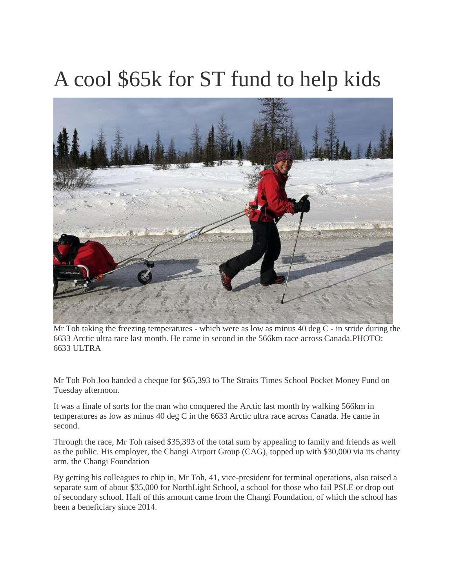## A cool \$65k for ST fund to help kids



Mr Toh taking the freezing temperatures - which were as low as minus 40 deg C - in stride during the 6633 Arctic ultra race last month. He came in second in the 566km race across Canada.PHOTO: 6633 ULTRA

Mr Toh Poh Joo handed a cheque for \$65,393 to The Straits Times School Pocket Money Fund on Tuesday afternoon.

It was a finale of sorts for the man who conquered the Arctic last month by walking 566km in temperatures as low as minus 40 deg C in the 6633 Arctic ultra race across Canada. He came in second.

Through the race, Mr Toh raised \$35,393 of the total sum by appealing to family and friends as well as the public. His employer, the Changi Airport Group (CAG), topped up with \$30,000 via its charity arm, the Changi Foundation

By getting his colleagues to chip in, Mr Toh, 41, vice-president for terminal operations, also raised a separate sum of about \$35,000 for NorthLight School, a school for those who fail PSLE or drop out of secondary school. Half of this amount came from the Changi Foundation, of which the school has been a beneficiary since 2014.